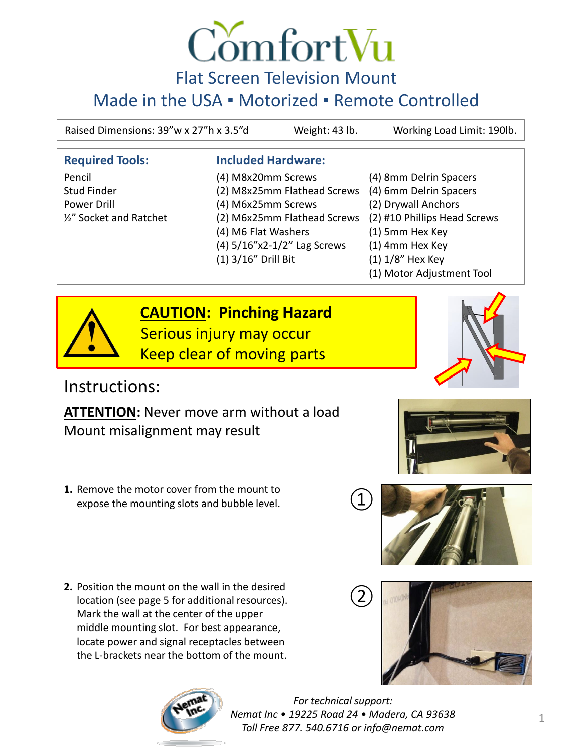

#### F[lat Screen Television Mount](http://www.comfortvu.com/)

#### Made in the USA · Motorized · Remote Controlled

Raised Dimensions: 39"w x 27"h x 3.5"d Weight: 43 lb. Working Load Limit: 190lb.

#### **Required Tools: Included Hardware:**

Pencil (4) M8x20mm Screws (4) 8mm Delrin Spacers Stud Finder (2) M8x25mm Flathead Screws (4) 6mm Delrin Spacers Power Drill (4) M6x25mm Screws (2) Drywall Anchors ½" Socket and Ratchet (2) M6x25mm Flathead Screws (2) #10 Phillips Head Screws (4) M6 Flat Washers (1) 5mm Hex Key (4) 5/16"x2-1/2" Lag Screws (1) 4mm Hex Key (1) 3/16" Drill Bit (1) 1/8" Hex Key

- 
- 
- 
- 
- 
- 
- 
- (1) Motor Adjustment Tool



**CAUTION: Pinching Hazard** Serious injury may occur Keep clear of moving parts

#### Instructions:

**ATTENTION:** Never move arm without a load Mount misalignment may result

- **1.** Remove the motor cover from the mount to expose the mounting slots and bubble level.
- **2.** Position the mount on the wall in the desired location (see page 5 for additional resources). Mark the wall at the center of the upper middle mounting slot. For best appearance, locate power and signal receptacles between the L-brackets near the bottom of the mount.











*For technical support: Nemat Inc • 19225 Road 24 • Madera, CA 93638 Toll Free 877. 540.6716 or info@nemat.com*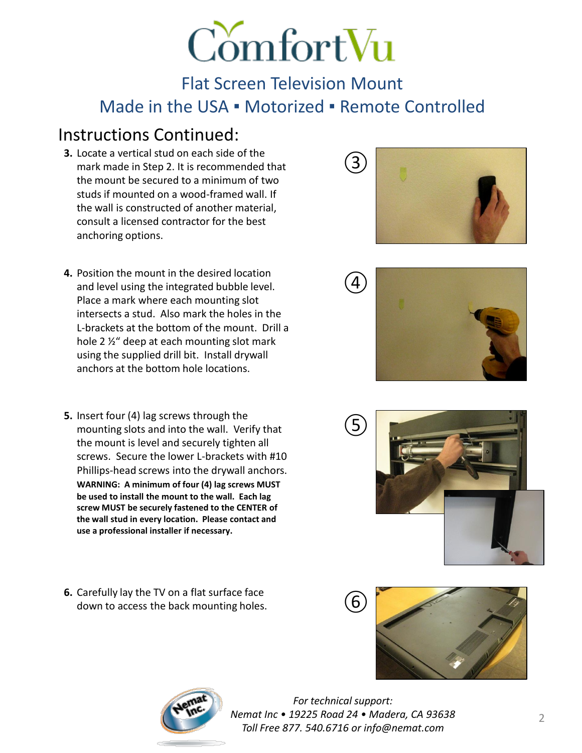# **ComfortVu**

#### Flat Screen Television Mount Made in the USA · Motorized · Remote Controlled

#### Instructions Continued:

- **3.** Locate a vertical stud on each side of the mark made in Step 2. It is recommended that the mount be secured to a minimum of two studs if mounted on a wood-framed wall. If the wall is constructed of another material, consult a licensed contractor for the best anchoring options.
- **4.** Position the mount in the desired location and level using the integrated bubble level. Place a mark where each mounting slot intersects a stud. Also mark the holes in the L-brackets at the bottom of the mount. Drill a hole 2 ½" deep at each mounting slot mark using the supplied drill bit. Install drywall anchors at the bottom hole locations.
- **5.** Insert four (4) lag screws through the mounting slots and into the wall. Verify that the mount is level and securely tighten all screws. Secure the lower L-brackets with #10 Phillips-head screws into the drywall anchors. **WARNING: A minimum of four (4) lag screws MUST be used to install the mount to the wall. Each lag screw MUST be securely fastened to the CENTER of the wall stud in every location. Please contact and use a professional installer if necessary.**
- **6.** Carefully lay the TV on a flat surface face down to access the back mounting holes.











*For technical support: Nemat Inc • 19225 Road 24 • Madera, CA 93638 Toll Free 877. 540.6716 or info@nemat.com*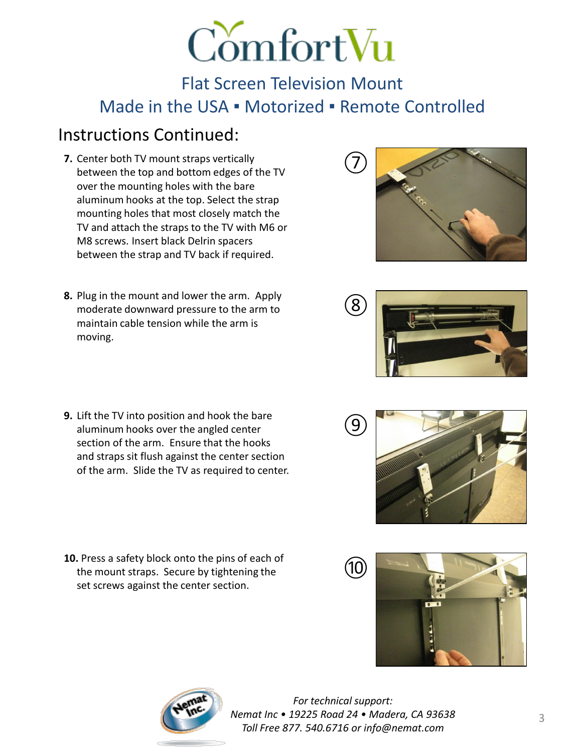# ComfortVu

Flat Screen Television Mount Made in the USA · Motorized · Remote Controlled

### Instructions Continued:

- **7.** Center both TV mount straps vertically between the top and bottom edges of the TV over the mounting holes with the bare aluminum hooks at the top. Select the strap mounting holes that most closely match the TV and attach the straps to the TV with M6 or M8 screws. Insert black Delrin spacers between the strap and TV back if required.
- **8.** Plug in the mount and lower the arm. Apply moderate downward pressure to the arm to maintain cable tension while the arm is moving.
- ⑦



- **9.** Lift the TV into position and hook the bare aluminum hooks over the angled center section of the arm. Ensure that the hooks and straps sit flush against the center section of the arm. Slide the TV as required to center.
- **10.** Press a safety block onto the pins of each of the mount straps. Secure by tightening the set screws against the center section.





*For technical support: Nemat Inc • 19225 Road 24 • Madera, CA 93638 Toll Free 877. 540.6716 or info@nemat.com*

⑨